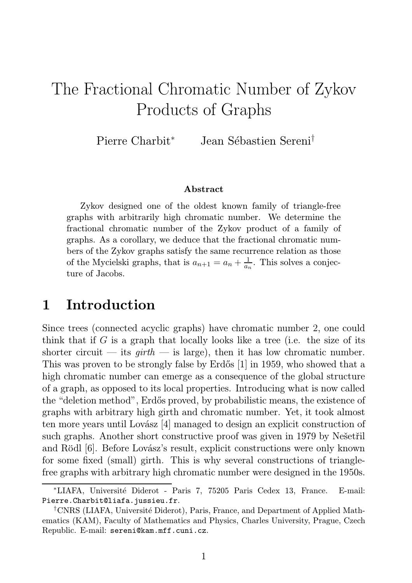# The Fractional Chromatic Number of Zykov Products of Graphs

Pierre Charbit<sup>∗</sup> Jean Sébastien Sereni†

#### Abstract

Zykov designed one of the oldest known family of triangle-free graphs with arbitrarily high chromatic number. We determine the fractional chromatic number of the Zykov product of a family of graphs. As a corollary, we deduce that the fractional chromatic numbers of the Zykov graphs satisfy the same recurrence relation as those of the Mycielski graphs, that is  $a_{n+1} = a_n + \frac{1}{a_n}$  $\frac{1}{a_n}$ . This solves a conjecture of Jacobs.

## 1 Introduction

Since trees (connected acyclic graphs) have chromatic number 2, one could think that if G is a graph that locally looks like a tree (i.e. the size of its shorter circuit — its  $qirth$  — is large), then it has low chromatic number. This was proven to be strongly false by Erdős [1] in 1959, who showed that a high chromatic number can emerge as a consequence of the global structure of a graph, as opposed to its local properties. Introducing what is now called the "deletion method", Erdős proved, by probabilistic means, the existence of graphs with arbitrary high girth and chromatic number. Yet, it took almost ten more years until Lovász [4] managed to design an explicit construction of such graphs. Another short constructive proof was given in 1979 by Nešetřil and Rödl [6]. Before Lovász's result, explicit constructions were only known for some fixed (small) girth. This is why several constructions of trianglefree graphs with arbitrary high chromatic number were designed in the 1950s.

<sup>∗</sup>LIAFA, Université Diderot - Paris 7, 75205 Paris Cedex 13, France. E-mail: Pierre.Charbit@liafa.jussieu.fr.

<sup>†</sup>CNRS (LIAFA, Université Diderot), Paris, France, and Department of Applied Mathematics (KAM), Faculty of Mathematics and Physics, Charles University, Prague, Czech Republic. E-mail: sereni@kam.mff.cuni.cz.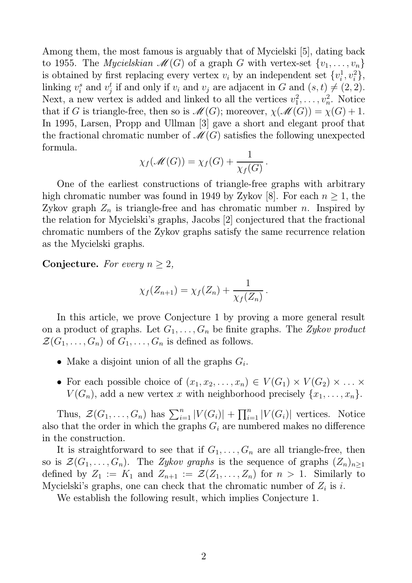Among them, the most famous is arguably that of Mycielski [5], dating back to 1955. The *Mycielskian*  $\mathcal{M}(G)$  of a graph G with vertex-set  $\{v_1, \ldots, v_n\}$ is obtained by first replacing every vertex  $v_i$  by an independent set  $\{v_i^1\}$  $\{^1_i, v^2_i\},\$ linking  $v_i^s$  $_i^s$  and  $v_j^t$  $_j^t$  if and only if  $v_i$  and  $v_j$  are adjacent in G and  $(s, t) \neq (2, 2)$ . Next, a new vertex is added and linked to all the vertices  $v_1^2$  $i_1^2, \ldots, i_n^2$ . Notice that if G is triangle-free, then so is  $\mathcal{M}(G)$ ; moreover,  $\chi(\mathcal{M}(G)) = \chi(G) + 1$ . In 1995, Larsen, Propp and Ullman [3] gave a short and elegant proof that the fractional chromatic number of  $\mathcal{M}(G)$  satisfies the following unexpected formula.

$$
\chi_f(\mathscr{M}(G)) = \chi_f(G) + \frac{1}{\chi_f(G)}.
$$

One of the earliest constructions of triangle-free graphs with arbitrary high chromatic number was found in 1949 by Zykov [8]. For each  $n \geq 1$ , the Zykov graph  $Z_n$  is triangle-free and has chromatic number n. Inspired by the relation for Mycielski's graphs, Jacobs [2] conjectured that the fractional chromatic numbers of the Zykov graphs satisfy the same recurrence relation as the Mycielski graphs.

Conjecture. For every  $n \geq 2$ ,

$$
\chi_f(Z_{n+1}) = \chi_f(Z_n) + \frac{1}{\chi_f(Z_n)}.
$$

In this article, we prove Conjecture 1 by proving a more general result on a product of graphs. Let  $G_1, \ldots, G_n$  be finite graphs. The Zykov product  $\mathcal{Z}(G_1,\ldots,G_n)$  of  $G_1,\ldots,G_n$  is defined as follows.

- Make a disjoint union of all the graphs  $G_i$ .
- For each possible choice of  $(x_1, x_2, \ldots, x_n) \in V(G_1) \times V(G_2) \times \ldots \times V(G_n)$  $V(G_n)$ , add a new vertex x with neighborhood precisely  $\{x_1, \ldots, x_n\}$ .

Thus,  $\mathcal{Z}(G_1,\ldots,G_n)$  has  $\sum_{i=1}^n |V(G_i)| + \prod_{i=1}^n |V(G_i)|$  vertices. Notice also that the order in which the graphs  $G_i$  are numbered makes no difference in the construction.

It is straightforward to see that if  $G_1, \ldots, G_n$  are all triangle-free, then so is  $\mathcal{Z}(G_1,\ldots,G_n)$ . The Zykov graphs is the sequence of graphs  $(Z_n)_{n\geq 1}$ defined by  $Z_1 := K_1$  and  $Z_{n+1} := \mathcal{Z}(Z_1, \ldots, Z_n)$  for  $n > 1$ . Similarly to Mycielski's graphs, one can check that the chromatic number of  $Z_i$  is i.

We establish the following result, which implies Conjecture 1.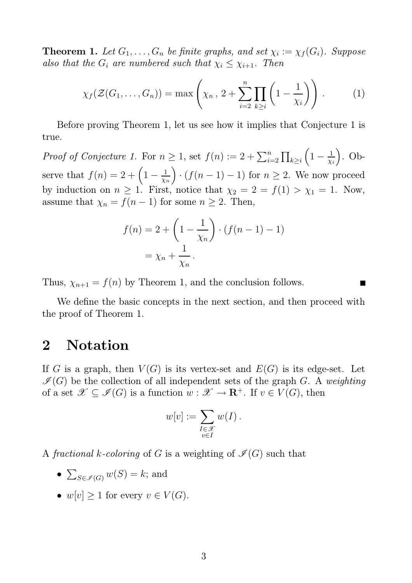**Theorem 1.** Let  $G_1, \ldots, G_n$  be finite graphs, and set  $\chi_i := \chi_f(G_i)$ . Suppose also that the  $G_i$  are numbered such that  $\chi_i \leq \chi_{i+1}$ . Then

$$
\chi_f(\mathcal{Z}(G_1,\ldots,G_n)) = \max\left(\chi_n\,,\,2+\sum_{i=2}^n\prod_{k\geq i}\left(1-\frac{1}{\chi_i}\right)\right)\,.
$$
 (1)

Before proving Theorem 1, let us see how it implies that Conjecture 1 is true.

*Proof of Conjecture 1.* For  $n \geq 1$ , set  $f(n) := 2 + \sum_{i=2}^{n} \prod_{k \geq i}$  $\left(1-\frac{1}{\nu}\right)$ χi  $\big)$ . Observe that  $f(n) = 2 + \left(1 - \frac{1}{n}\right)$ χn  $\cdot$  (f(n - 1) - 1) for  $n \geq 2$ . We now proceed by induction on  $n \geq 1$ . First, notice that  $\chi_2 = 2 = f(1) > \chi_1 = 1$ . Now, assume that  $\chi_n = f(n-1)$  for some  $n \geq 2$ . Then,

$$
f(n) = 2 + \left(1 - \frac{1}{\chi_n}\right) \cdot \left(f(n-1) - 1\right)
$$

$$
= \chi_n + \frac{1}{\chi_n}.
$$

Thus,  $\chi_{n+1} = f(n)$  by Theorem 1, and the conclusion follows.

We define the basic concepts in the next section, and then proceed with the proof of Theorem 1.

#### 2 Notation

If G is a graph, then  $V(G)$  is its vertex-set and  $E(G)$  is its edge-set. Let  $\mathcal{I}(G)$  be the collection of all independent sets of the graph G. A weighting of a set  $\mathscr{X} \subseteq \mathscr{I}(G)$  is a function  $w : \mathscr{X} \to \mathbf{R}^+$ . If  $v \in V(G)$ , then

$$
w[v] := \sum_{\substack{I \in \mathcal{X} \\ v \in I}} w(I) .
$$

A fractional k-coloring of G is a weighting of  $\mathcal{I}(G)$  such that

- $\sum_{S \in \mathscr{I}(G)} w(S) = k$ ; and
- $w[v] \geq 1$  for every  $v \in V(G)$ .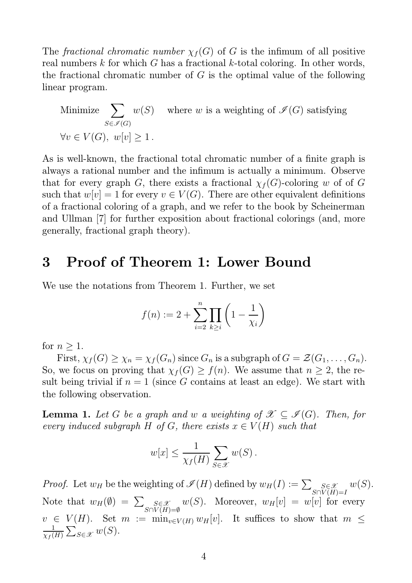The fractional chromatic number  $\chi_f(G)$  of G is the infimum of all positive real numbers  $k$  for which  $G$  has a fractional  $k$ -total coloring. In other words, the fractional chromatic number of  $G$  is the optimal value of the following linear program.

Minimize 
$$
\sum_{S \in \mathcal{I}(G)} w(S)
$$
 where *w* is a weighting of  $\mathcal{I}(G)$  satisfying  
 $\forall v \in V(G), w[v] \ge 1$ .

As is well-known, the fractional total chromatic number of a finite graph is always a rational number and the infimum is actually a minimum. Observe that for every graph G, there exists a fractional  $\chi_f(G)$ -coloring w of of G such that  $w[v] = 1$  for every  $v \in V(G)$ . There are other equivalent definitions of a fractional coloring of a graph, and we refer to the book by Scheinerman and Ullman [7] for further exposition about fractional colorings (and, more generally, fractional graph theory).

### 3 Proof of Theorem 1: Lower Bound

We use the notations from Theorem 1. Further, we set

$$
f(n) := 2 + \sum_{i=2}^{n} \prod_{k \ge i} \left( 1 - \frac{1}{\chi_i} \right)
$$

for  $n \geq 1$ .

First,  $\chi_f(G) \geq \chi_n = \chi_f(G_n)$  since  $G_n$  is a subgraph of  $G = \mathcal{Z}(G_1, \ldots, G_n)$ . So, we focus on proving that  $\chi_f(G) \geq f(n)$ . We assume that  $n \geq 2$ , the result being trivial if  $n = 1$  (since G contains at least an edge). We start with the following observation.

**Lemma 1.** Let G be a graph and w a weighting of  $\mathscr{X} \subseteq \mathscr{I}(G)$ . Then, for every induced subgraph H of G, there exists  $x \in V(H)$  such that

$$
w[x] \le \frac{1}{\chi_f(H)} \sum_{S \in \mathscr{X}} w(S) .
$$

*Proof.* Let  $w_H$  be the weighting of  $\mathscr{I}(H)$  defined by  $w_H(I) := \sum s \in \mathscr{X}$  $S\cap V(H){=}I$  $w(S)$ . Note that  $w_H(\emptyset) = \sum s \in \mathcal{X}$  $S\!\cap\!V(H)\!=\!\emptyset$  $w(S)$ . Moreover,  $w_H[v] = w[v]$  for every  $v \in V(H)$ . Set  $m := \min_{v \in V(H)} w_H[v]$ . It suffices to show that  $m \leq$ 1  $\frac{1}{\chi_f(H)}\sum_{S\in\mathscr{X}}w(S).$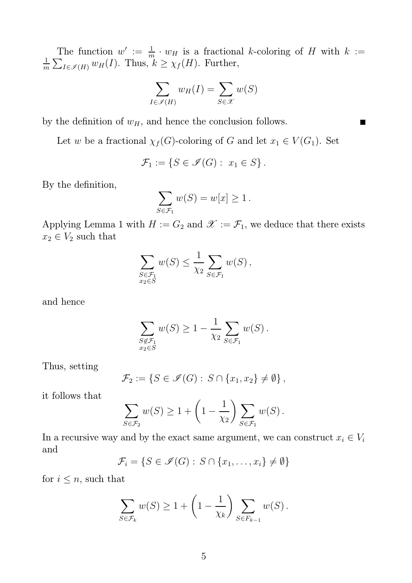The function  $w' := \frac{1}{m} \cdot w_H$  is a fractional k-coloring of H with  $k :=$ 1  $\frac{1}{m}\sum_{I\in\mathscr{I}(H)}w_H(I)$ . Thus,  $k\geq \chi_f(H)$ . Further,

$$
\sum_{I \in \mathcal{I}(H)} w_H(I) = \sum_{S \in \mathcal{X}} w(S)
$$

by the definition of  $w_H$ , and hence the conclusion follows.

Let w be a fractional  $\chi_f(G)$ -coloring of G and let  $x_1 \in V(G_1)$ . Set

$$
\mathcal{F}_1 := \{ S \in \mathscr{I}(G) : x_1 \in S \}.
$$

By the definition,

$$
\sum_{S \in \mathcal{F}_1} w(S) = w[x] \ge 1.
$$

Applying Lemma 1 with  $H := G_2$  and  $\mathscr{X} := \mathcal{F}_1$ , we deduce that there exists  $x_2 \in V_2$  such that

$$
\sum_{\substack{S \in \mathcal{F}_1 \\ x_2 \in S}} w(S) \le \frac{1}{\chi_2} \sum_{S \in \mathcal{F}_1} w(S) ,
$$

and hence

$$
\sum_{\substack{S \notin \mathcal{F}_1 \\ x_2 \in S}} w(S) \ge 1 - \frac{1}{\chi_2} \sum_{S \in \mathcal{F}_1} w(S).
$$

Thus, setting

$$
\mathcal{F}_2 := \{ S \in \mathscr{I}(G) : S \cap \{x_1, x_2\} \neq \emptyset \},
$$

it follows that

$$
\sum_{S \in \mathcal{F}_2} w(S) \ge 1 + \left(1 - \frac{1}{\chi_2}\right) \sum_{S \in \mathcal{F}_1} w(S).
$$

In a recursive way and by the exact same argument, we can construct  $x_i \in V_i$ and

$$
\mathcal{F}_i = \{ S \in \mathscr{I}(G) : S \cap \{x_1, \ldots, x_i\} \neq \emptyset \}
$$

for  $i \leq n$ , such that

$$
\sum_{S \in \mathcal{F}_k} w(S) \ge 1 + \left(1 - \frac{1}{\chi_k}\right) \sum_{S \in F_{k-1}} w(S).
$$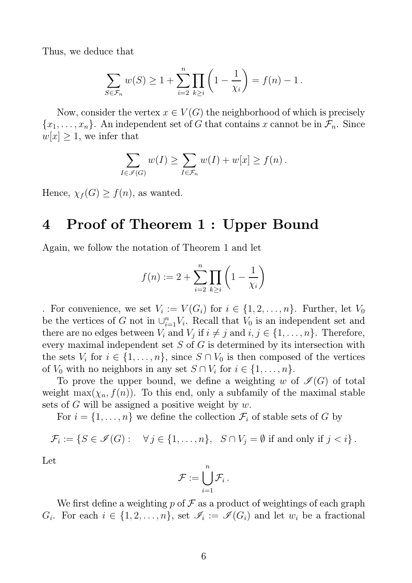Thus, we deduce that

$$
\sum_{S \in \mathcal{F}_n} w(S) \ge 1 + \sum_{i=2}^n \prod_{k \ge i} \left( 1 - \frac{1}{\chi_i} \right) = f(n) - 1 \, .
$$

Now, consider the vertex  $x \in V(G)$  the neighborhood of which is precisely  ${x_1, \ldots, x_n}$ . An independent set of G that contains x cannot be in  $\mathcal{F}_n$ . Since  $w[x] \geq 1$ , we infer that

$$
\sum_{I \in \mathcal{I}(G)} w(I) \ge \sum_{I \in \mathcal{F}_n} w(I) + w[x] \ge f(n).
$$

Hence,  $\chi_f(G) \geq f(n)$ , as wanted.

# 4 Proof of Theorem 1 : Upper Bound

Again, we follow the notation of Theorem 1 and let

$$
f(n) := 2 + \sum_{i=2}^{n} \prod_{k \ge i} \left( 1 - \frac{1}{\chi_i} \right)
$$

. For convenience, we set  $V_i := V(G_i)$  for  $i \in \{1, 2, ..., n\}$ . Further, let  $V_0$ be the vertices of G not in  $\cup_{i=1}^n V_i$ . Recall that  $V_0$  is an independent set and there are no edges between  $V_i$  and  $V_j$  if  $i \neq j$  and  $i, j \in \{1, \ldots, n\}$ . Therefore, every maximal independent set S of G is determined by its intersection with the sets  $V_i$  for  $i \in \{1, \ldots, n\}$ , since  $S \cap V_0$  is then composed of the vertices of  $V_0$  with no neighbors in any set  $S \cap V_i$  for  $i \in \{1, \ldots, n\}$ .

To prove the upper bound, we define a weighting w of  $\mathcal{I}(G)$  of total weight max $(\chi_n, f(n))$ . To this end, only a subfamily of the maximal stable sets of G will be assigned a positive weight by  $w$ .

For  $i = \{1, \ldots, n\}$  we define the collection  $\mathcal{F}_i$  of stable sets of G by

$$
\mathcal{F}_i := \{ S \in \mathscr{I}(G) : \quad \forall j \in \{1, \dots, n\}, \quad S \cap V_j = \emptyset \text{ if and only if } j < i \} \,.
$$

Let

$$
\mathcal{F}:=\bigcup_{i=1}^n\mathcal{F}_i\,.
$$

We first define a weighting p of  $\mathcal F$  as a product of weightings of each graph  $G_i$ . For each  $i \in \{1, 2, ..., n\}$ , set  $\mathscr{I}_i := \mathscr{I}(G_i)$  and let  $w_i$  be a fractional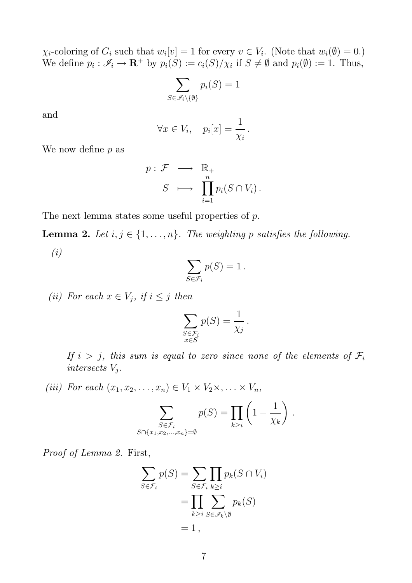$\chi_i$ -coloring of  $G_i$  such that  $w_i[v] = 1$  for every  $v \in V_i$ . (Note that  $w_i(\emptyset) = 0$ .) We define  $p_i : \mathscr{I}_i \to \mathbf{R}^+$  by  $p_i(S) := c_i(S)/\chi_i$  if  $S \neq \emptyset$  and  $p_i(\emptyset) := 1$ . Thus,

$$
\sum_{S \in \mathcal{I}_i \setminus \{\emptyset\}} p_i(S) = 1
$$

and

$$
\forall x \in V_i, \quad p_i[x] = \frac{1}{\chi_i} \, .
$$

We now define  $p$  as

$$
p: \mathcal{F} \longrightarrow \mathbb{R}_{+}
$$
  

$$
S \longmapsto \prod_{i=1}^{n} p_i(S \cap V_i).
$$

The next lemma states some useful properties of p.

**Lemma 2.** Let  $i, j \in \{1, \ldots, n\}$ . The weighting p satisfies the following.

(i)

$$
\sum_{S \in \mathcal{F}_i} p(S) = 1 \, .
$$

(*ii*) For each  $x \in V_j$ , if  $i \leq j$  then

$$
\sum_{\substack{S \in \mathcal{F}_i \\ x \in S}} p(S) = \frac{1}{\chi_j} \, .
$$

If  $i > j$ , this sum is equal to zero since none of the elements of  $\mathcal{F}_i$ intersects  $V_j$ .

(iii) For each  $(x_1, x_2, \ldots, x_n) \in V_1 \times V_2 \times \ldots \times V_n$ ,

$$
\sum_{\substack{S \in \mathcal{F}_i \\ S \cap \{x_1, x_2, \dots, x_n\} = \emptyset}} p(S) = \prod_{k \ge i} \left(1 - \frac{1}{\chi_k}\right).
$$

Proof of Lemma 2. First,

$$
\sum_{S \in \mathcal{F}_i} p(S) = \sum_{S \in \mathcal{F}_i} \prod_{k \ge i} p_k(S \cap V_i)
$$

$$
= \prod_{k \ge i} \sum_{S \in \mathcal{I}_k \setminus \emptyset} p_k(S)
$$

$$
= 1,
$$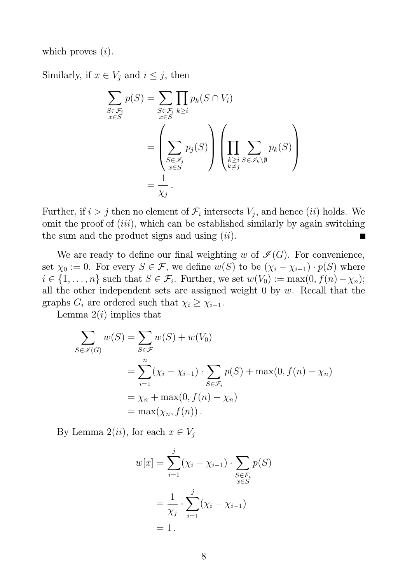which proves  $(i)$ .

Similarly, if  $x \in V_j$  and  $i \leq j$ , then

$$
\sum_{\substack{S \in \mathcal{F}_i \\ x \in S}} p(S) = \sum_{\substack{S \in \mathcal{F}_i \\ x \in S}} \prod_{k \ge i} p_k(S \cap V_i)
$$
\n
$$
= \left(\sum_{\substack{S \in \mathcal{F}_j \\ x \in S}} p_j(S)\right) \left(\prod_{\substack{k \ge i \\ k \ne j}} \sum_{S \in \mathcal{F}_k \setminus \emptyset} p_k(S)\right)
$$
\n
$$
= \frac{1}{\chi_j}.
$$

Further, if  $i > j$  then no element of  $\mathcal{F}_i$  intersects  $V_j$ , and hence  $(ii)$  holds. We omit the proof of (iii), which can be established similarly by again switching the sum and the product signs and using  $(ii)$ . п

We are ready to define our final weighting w of  $\mathcal{I}(G)$ . For convenience, set  $\chi_0 := 0$ . For every  $S \in \mathcal{F}$ , we define  $w(S)$  to be  $(\chi_i - \chi_{i-1}) \cdot p(S)$  where  $i \in \{1, \ldots, n\}$  such that  $S \in \mathcal{F}_i$ . Further, we set  $w(V_0) := \max(0, f(n) - \chi_n);$ all the other independent sets are assigned weight  $0$  by  $w$ . Recall that the graphs  $G_i$  are ordered such that  $\chi_i \geq \chi_{i-1}$ .

Lemma  $2(i)$  implies that

$$
\sum_{S \in \mathcal{I}(G)} w(S) = \sum_{S \in \mathcal{F}} w(S) + w(V_0)
$$
  
= 
$$
\sum_{i=1}^{n} (\chi_i - \chi_{i-1}) \cdot \sum_{S \in \mathcal{F}_i} p(S) + \max(0, f(n) - \chi_n)
$$
  
= 
$$
\chi_n + \max(0, f(n) - \chi_n)
$$
  
= 
$$
\max(\chi_n, f(n)).
$$

By Lemma 2(ii), for each  $x \in V_j$ 

$$
w[x] = \sum_{i=1}^{j} (\chi_i - \chi_{i-1}) \cdot \sum_{\substack{S \in F_i \\ x \in S}} p(S)
$$

$$
= \frac{1}{\chi_j} \cdot \sum_{i=1}^{j} (\chi_i - \chi_{i-1})
$$

$$
= 1.
$$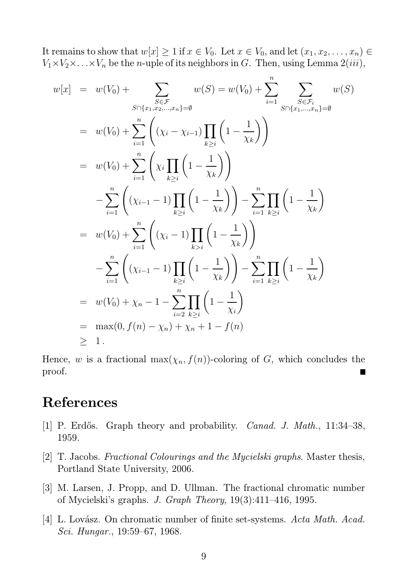It remains to show that  $w[x] \geq 1$  if  $x \in V_0$ . Let  $x \in V_0$ , and let  $(x_1, x_2, \ldots, x_n) \in$  $V_1\times V_2\times \ldots \times V_n$  be the *n*-uple of its neighbors in G. Then, using Lemma 2(*iii*),

$$
w[x] = w(V_0) + \sum_{S \cap \{x_1, x_2, ..., x_n\} = \emptyset} w(S) = w(V_0) + \sum_{i=1}^n \sum_{S \in \mathcal{F}_i} w(S)
$$
  
\n
$$
= w(V_0) + \sum_{i=1}^n \left( (\chi_i - \chi_{i-1}) \prod_{k \ge i} \left( 1 - \frac{1}{\chi_k} \right) \right)
$$
  
\n
$$
= w(V_0) + \sum_{i=1}^n \left( \chi_i \prod_{k \ge i} \left( 1 - \frac{1}{\chi_k} \right) \right)
$$
  
\n
$$
- \sum_{i=1}^n \left( (\chi_{i-1} - 1) \prod_{k \ge i} \left( 1 - \frac{1}{\chi_k} \right) \right) - \sum_{i=1}^n \prod_{k \ge i} \left( 1 - \frac{1}{\chi_k} \right)
$$
  
\n
$$
= w(V_0) + \sum_{i=1}^n \left( (\chi_i - 1) \prod_{k \ge i} \left( 1 - \frac{1}{\chi_k} \right) \right)
$$
  
\n
$$
- \sum_{i=1}^n \left( (\chi_{i-1} - 1) \prod_{k \ge i} \left( 1 - \frac{1}{\chi_k} \right) \right) - \sum_{i=1}^n \prod_{k \ge i} \left( 1 - \frac{1}{\chi_k} \right)
$$
  
\n
$$
= w(V_0) + \chi_n - 1 - \sum_{i=2}^n \prod_{k \ge i} \left( 1 - \frac{1}{\chi_i} \right)
$$
  
\n
$$
= \max(0, f(n) - \chi_n) + \chi_n + 1 - f(n)
$$
  
\n
$$
\ge 1.
$$

Hence, w is a fractional  $\max(\chi_n, f(n))$ -coloring of G, which concludes the proof. П

# References

- [1] P. Erdős. Graph theory and probability. *Canad. J. Math.*, 11:34–38, 1959.
- [2] T. Jacobs. Fractional Colourings and the Mycielski graphs. Master thesis, Portland State University, 2006.
- [3] M. Larsen, J. Propp, and D. Ullman. The fractional chromatic number of Mycielski's graphs. J. Graph Theory, 19(3):411–416, 1995.
- [4] L. Lovász. On chromatic number of finite set-systems. Acta Math. Acad. Sci. Hungar., 19:59–67, 1968.